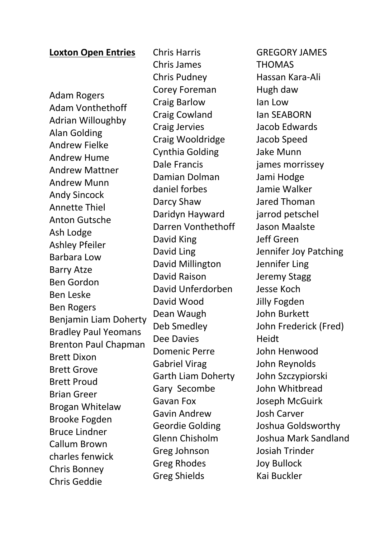## **Loxton Open Entries**

Adam Rogers Adam Vonthethoff Adrian Willoughby Alan Golding Andrew Fielke Andrew Hume Andrew Mattner Andrew Munn Andy Sincock Annette Thiel Anton Gutsche Ash Lodge Ashley Pfeiler Barbara Low Barry Atze Ben Gordon Ben Leske Ben Rogers Benjamin Liam Doherty Bradley Paul Yeomans Brenton Paul Chapman Brett Dixon Brett Grove Brett Proud Brian Greer Brogan Whitelaw Brooke Fogden Bruce Lindner Callum Brown charles fenwick Chris Bonney Chris Geddie

Chris Harris Chris James Chris Pudney Corey Foreman Craig Barlow Craig Cowland Craig Jervies Craig Wooldridge Cynthia Golding Dale Francis Damian Dolman daniel forbes Darcy Shaw Daridyn Hayward Darren Vonthethoff David King David Ling David Millington David Raison David Unferdorben David Wood Dean Waugh Deb Smedley Dee Davies Domenic Perre Gabriel Virag Garth Liam Doherty Gary Secombe Gavan Fox Gavin Andrew Geordie Golding Glenn Chisholm Greg Johnson Greg Rhodes Greg Shields

GREGORY JAMES THOMAS Hassan Kara-Ali Hugh daw Ian Low Ian SEABORN Jacob Edwards Jacob Speed Jake Munn james morrissey Jami Hodge Jamie Walker Jared Thoman jarrod petschel Jason Maalste Jeff Green Jennifer Joy Patching Jennifer Ling Jeremy Stagg Jesse Koch Jilly Fogden John Burkett John Frederick (Fred) Heidt John Henwood John Reynolds John Szczypiorski John Whitbread Joseph McGuirk Josh Carver Joshua Goldsworthy Joshua Mark Sandland Josiah Trinder Joy Bullock Kai Buckler